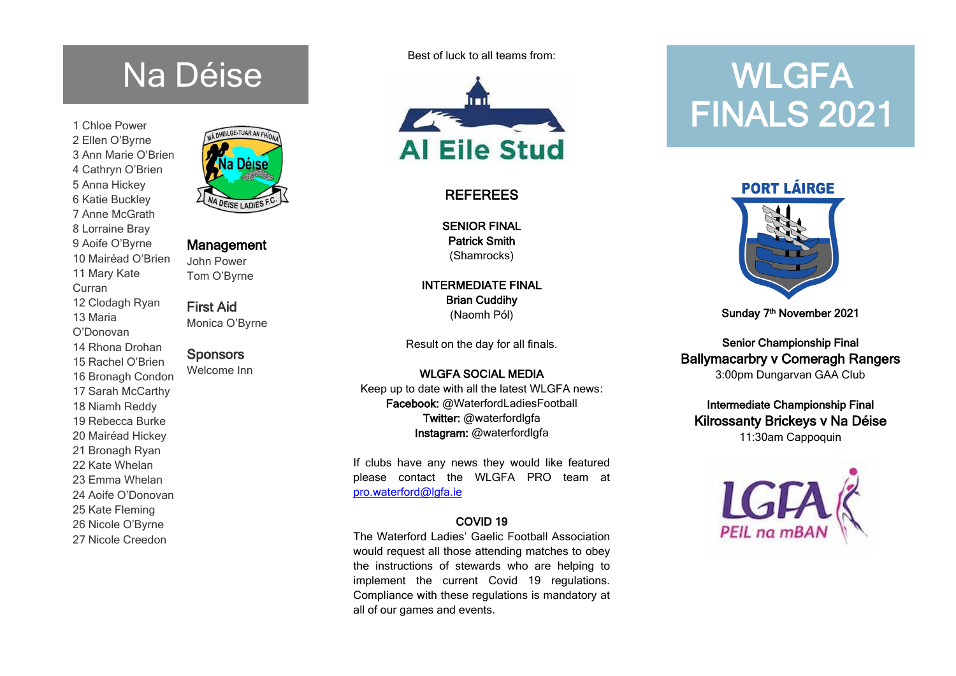# Na Déise

1 Chloe Power 2 Ellen O'Byrne 3 Ann Marie O'Brien 4 Cathryn O'Brien 5 Anna Hickey 6 Katie Buckley 7 Anne McGrath 8 Lorraine Bray 9 Aoife O'Byrne 10 Mairéad O'Brien 11 Mary Kate Curran 12 Clodagh Ryan 13 Maria O'Donovan 14 Rhona Drohan 15 Rachel O'Brien 16 Bronagh Condon 17 Sarah McCarthy 18 Niamh Reddy 19 Rebecca Burke 20 Mairéad Hickey 21 Bronagh Ryan 22 Kate Whelan 23 Emma Whelan 24 Aoife O'Donovan 25 Kate Fleming 26 Nicole O'Byrne 27 Nicole Creedon



### Management

John Power Tom O'Byrne

First Aid Monica O'Byrne

# **Sponsors**

Welcome Inn

Best of luck to all teams from:



# REFEREES

SENIOR FINAL Patrick Smith (Shamrocks)

INTERMEDIATE FINAL Brian Cuddihy (Naomh Pól)

Result on the day for all finals.

WI GFA SOCIAL MEDIA Keep up to date with all the latest WLGFA news: Facebook: @WaterfordLadiesFootball Twitter: @waterfordlgfa Instagram: @waterfordlgfa

If clubs have any news they would like featured please contact the WLGFA PRO team at [pro.waterford@lgfa.ie](mailto:pro.waterford@lgfa.ie)

### COVID 19

The Waterford Ladies' Gaelic Football Association would request all those attending matches to obey the instructions of stewards who are helping to implement the current Covid 19 regulations. Compliance with these regulations is mandatory at all of our games and events.

# **WLGFA** FINALS 2021

**PORT LÁIRGE** 



Sunday 7<sup>th</sup> November 2021

Senior Championship Final Ballymacarbry v Comeragh Rangers 3:00pm Dungarvan GAA Club

Intermediate Championship Final Kilrossanty Brickeys v Na Déise 11:30am Cappoquin